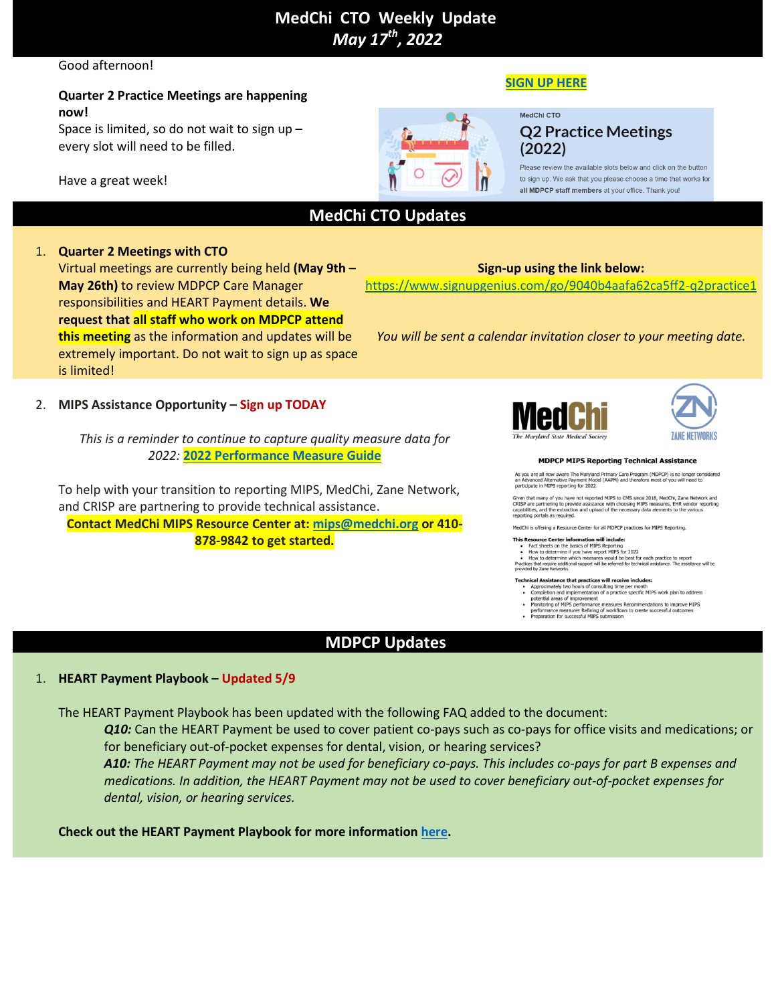# **MedChi  CTO  Weekly  Update** *May 17th , 2022*

#### Good afternoon!

## **Quarter 2 Practice Meetings are happening now!**

Space is limited, so do not wait to sign up – every slot will need to be filled.

Have a great week!

## **SIGN UP [HERE](https://www.signupgenius.com/go/9040b4aafa62ca5ff2-q2practice1)**

MedChi CTO

# **Q2 Practice Meetings**  $(2022)$

Please review the available slots below and click on the button to sign up. We ask that you please choose a time that works for all MDPCP staff members at your office. Thank you!

# **MedChi CTO Updates**

## 1. **Quarter 2 Meetings with CTO**

Virtual meetings are currently being held **(May 9th – May 26th)** to review MDPCP Care Manager responsibilities and HEART Payment details. **We request that all staff who work on MDPCP attend this meeting** as the information and updates will be extremely important. Do not wait to sign up as space is limited!

## 2. **MIPS Assistance Opportunity – Sign up TODAY**

*This is a reminder to continue to capture quality measure data for 2022:* **2022 [Performance](https://acrobat.adobe.com/link/track?uri=urn:aaid:scds:US:86f912d0-f900-3516-b43c-00af392b56a2) Measure Guide**

To help with your transition to reporting MIPS, MedChi, Zane Network, and CRISP are partnering to provide technical assistance. **Contact MedChi MIPS Resource Center at: [mips@medchi.org](mailto:mips@medchi.org) or 410- 878-9842 to get started.**





#### **MDPCP MIPS Reporting Technical Assistance**

As you are all now aware The Maryland Primary Care Program (MDPCP) is no longer considered<br>an Advanced Alternative Payment Model (AAPM) and therefore most of you will need to<br>participate in MIPS reporting for 2022.

participate in MIPS reporting for 2022.<br>Given that many of you have not reported MIPS to CMS since 2018, MedChi, Zane Network and<br>CRISP are partnering to provide assistance with choosing MIPS measures, EHR vendor reporting

MedChi is offering a Resource Center for all MDPCP practices for MIPS Reporting

- MedChi is offering a Resource Center for all MDPCP practices for MIPS Reporting.<br> **This Resource Center information will include:**<br>
 Fact sheets on the basics of MIPS Reporting<br>
 How to determine if you have report MIPS
- Technical Assistance that practices will receive includes:
	- mean essistance mar practicus with reterver intoides:<br>Approximately two hours of consulting time per month<br>Completion and implementation of a practice specific MIPS work plan to address<br>potential areas of improvement<br>perfo
- $\ddot{\phantom{0}}$
- 

#### 1. **HEART Payment Playbook – Updated 5/9**

The HEART Payment Playbook has been updated with the following FAQ added to the document:

*Q10:* Can the HEART Payment be used to cover patient co-pays such as co-pays for office visits and medications; or for beneficiary out-of-pocket expenses for dental, vision, or hearing services?

**MDPCP Updates**

A10: The HEART Payment may not be used for beneficiary co-pays. This includes co-pays for part B expenses and *medications. In addition, the HEART Payment may not be used to cover beneficiary out-of-pocket expenses for dental, vision, or hearing services.*

**Check out the HEART Payment Playbook for more information [here.](https://acrobat.adobe.com/link/track?uri=urn:aaid:scds:US:fc9baf12-83fa-3ffe-b56c-9292fadc438d)**

**Sign-up using the link below:**

<https://www.signupgenius.com/go/9040b4aafa62ca5ff2-q2practice1>

*You will be sent a calendar invitation closer to your meeting date.*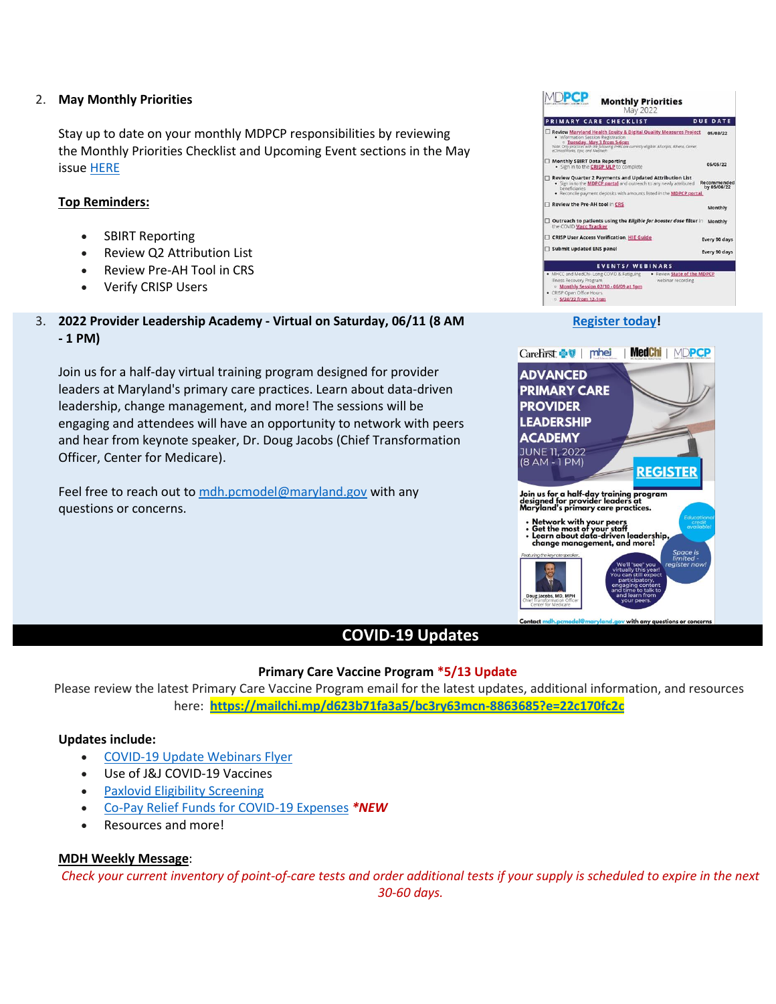#### 2. **May Monthly Priorities**

Stay up to date on your monthly MDPCP responsibilities by reviewing the Monthly Priorities Checklist and Upcoming Event sections in the May issue [HERE](https://acrobat.adobe.com/link/track?uri=urn:aaid:scds:US:051c0394-d029-3975-b102-abc8adeef463)

#### **Top Reminders:**

- SBIRT Reporting
- Review Q2 Attribution List
- Review Pre-AH Tool in CRS
- Verify CRISP Users
- 3. **2022 Provider Leadership Academy - Virtual on Saturday, 06/11 (8 AM - 1 PM)**

Join us for a half-day virtual training program designed for provider leaders at Maryland's primary care practices. Learn about data-driven leadership, change management, and more! The sessions will be engaging and attendees will have an opportunity to network with peers and hear from keynote speaker, Dr. Doug Jacobs (Chief Transformation Officer, Center for Medicare).

Feel free to reach out to [mdh.pcmodel@maryland.gov](mailto:mdh.pcmodel@maryland.gov) with any questions or concerns.

#### MDPCP **Monthly Priorities PRIMARY CARE CHECKLIST DUE DATE** Review <u>Maryland Health Equity & Digital Quality Measures Project</u> 05/03/22 • Information Session Registration<br>Note: O<mark>n Luesday, May 3 from 5-6pm</mark><br>Note: Only proctices with the following Erlits are currently eigible: Alliscripts, Athena, Ce Monthly SBIRT Data Reporting<br>• Sign in to the **CRISP ULP** to complete 05/05/22 • Sign in to the **CRISP ULP** to complete<br>**Review Quarter 2 Payments and Updated Attribution List<br>• Sign in to the <u>MDPCP partal</u> and outreach to any newly attributed <b>Recommender**<br>by **05/06/22** beneficiaries<br>• Reconcile payment deposits with amounts listed in the **MDPCP portal** Review the Pre-AH tool in CRS Monthly Outreach to patients using the Eligible for booster dose filter in Monthly<br>the COVID Vacc Tracker CRISP User Access Verification, <u>HIE Guide</u> Every 90 days Submit updated ENS panel Every 90 days EVENTS/ WEBINARS ess Recovery Program<br>Monthly Session 02/10 - 06/09 at 1pm ○ 5/24/22 from 12-1pm

## **[Register](https://carefirst.az1.qualtrics.com/jfe/form/SV_2hPhcSZWo6AzaPY) today!**

CareFirst <a>
<sub>U</sub> | phei | MedChi | MDPCP **ADVANCED PRIMARY CARE PROVIDER LEADERSHIP ACADEMY** JUNE 11, 2022<br>(8 AM - 1 PM) **REGISTER** Join us for a half-day training <mark>program</mark><br>designed for provider leaders at<br>Maryland's primary care practices. Network with your peers<br>Get the most of your staff<br>Learn about data-driven leadership,<br>change management, and more! with any a

## **COVID-19 Updates**

#### **Primary Care Vaccine Program \*5/13 Update**

Please review the latest Primary Care Vaccine Program email for the latest updates, additional information, and resources here: **<https://mailchi.mp/d623b71fa3a5/bc3ry63mcn-8863685?e=22c170fc2c>**

#### **Updates include:**

- [COVID-19](https://health.maryland.gov/mdpcp/Documents/MDPCP_COVID_19_Webinars_Flyer.pdf) Update Webinars Flyer
- Use of J&J COVID-19 Vaccines
- Paxlovid Eligibility [Screening](https://www.fda.gov/media/158165/download)
- Co-Pay Relief Funds for [COVID-19](https://copays.org/funds/covid-19/) Expenses *\*NEW*
- Resources and more!

#### **MDH Weekly Message**:

Check your current inventory of point-of-care tests and order additional tests if your supply is scheduled to expire in the next *30-60 days.*